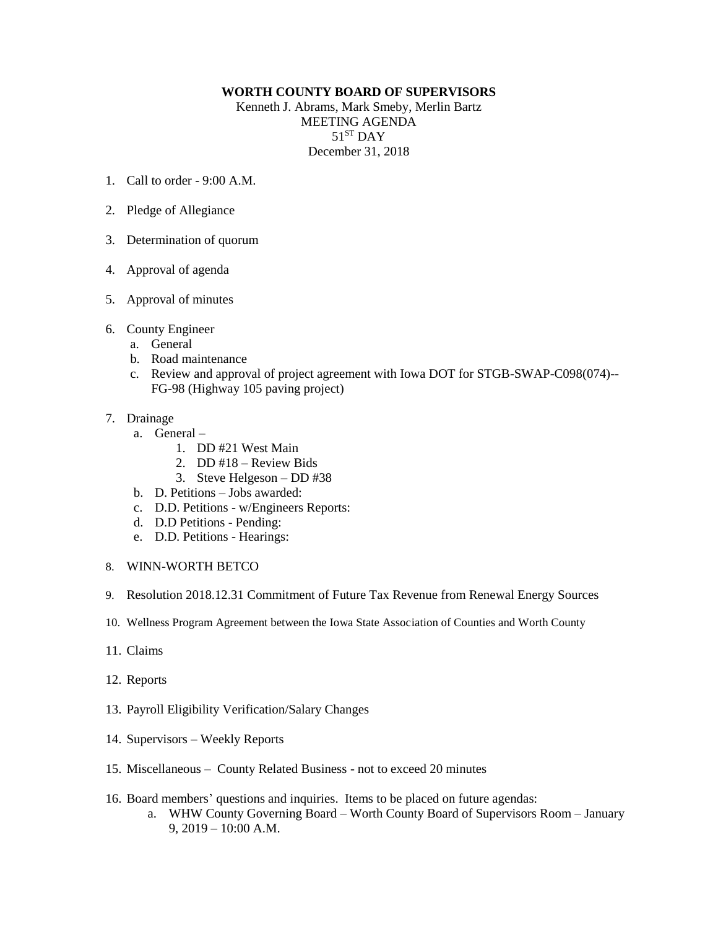## **WORTH COUNTY BOARD OF SUPERVISORS**

Kenneth J. Abrams, Mark Smeby, Merlin Bartz MEETING AGENDA  $51^{\rm ST}$  DAY December 31, 2018

- 1. Call to order  $9.00 \text{ A M}$
- 2. Pledge of Allegiance
- 3. Determination of quorum
- 4. Approval of agenda
- 5. Approval of minutes
- 6. County Engineer
	- a. General
	- b. Road maintenance
	- c. Review and approval of project agreement with Iowa DOT for STGB-SWAP-C098(074)-- FG-98 (Highway 105 paving project)

## 7. Drainage

- a. General
	- 1. DD #21 West Main
	- 2. DD #18 Review Bids
	- 3. Steve Helgeson DD #38
- b. D. Petitions Jobs awarded:
- c. D.D. Petitions w/Engineers Reports:
- d. D.D Petitions Pending:
- e. D.D. Petitions Hearings:
- 8. WINN-WORTH BETCO
- 9. Resolution 2018.12.31 Commitment of Future Tax Revenue from Renewal Energy Sources
- 10. Wellness Program Agreement between the Iowa State Association of Counties and Worth County
- 11. Claims
- 12. Reports
- 13. Payroll Eligibility Verification/Salary Changes
- 14. Supervisors Weekly Reports
- 15. Miscellaneous County Related Business not to exceed 20 minutes
- 16. Board members' questions and inquiries. Items to be placed on future agendas:
	- a. WHW County Governing Board Worth County Board of Supervisors Room January 9, 2019 – 10:00 A.M.